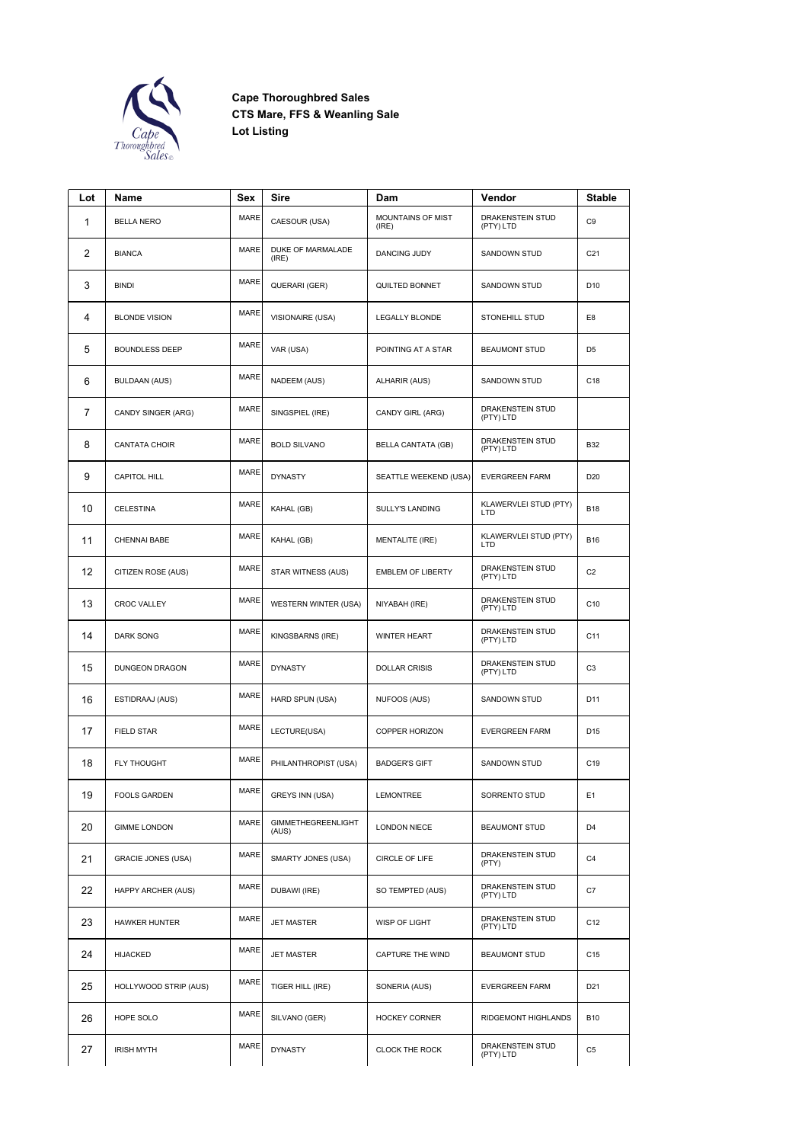

**Cape Thoroughbred Sales CTS Mare, FFS & Weanling Sale Lot Listing**

| Lot | Name                      | Sex         | Sire                               | Dam                        | Vendor                              | Stable          |
|-----|---------------------------|-------------|------------------------------------|----------------------------|-------------------------------------|-----------------|
| 1   | <b>BELLA NERO</b>         | <b>MARE</b> | CAESOUR (USA)                      | MOUNTAINS OF MIST<br>(IRE) | DRAKENSTEIN STUD<br>(PTY) LTD       | C9              |
| 2   | <b>BIANCA</b>             | <b>MARE</b> | DUKE OF MARMALADE<br>(IRE)         | <b>DANCING JUDY</b>        | SANDOWN STUD                        | C <sub>21</sub> |
| 3   | <b>BINDI</b>              | MARE        | QUERARI (GER)                      | QUILTED BONNET             | <b>SANDOWN STUD</b>                 | D <sub>10</sub> |
| 4   | <b>BLONDE VISION</b>      | <b>MARE</b> | VISIONAIRE (USA)                   | LEGALLY BLONDE             | STONEHILL STUD                      | E8              |
| 5   | <b>BOUNDLESS DEEP</b>     | <b>MARE</b> | VAR (USA)                          | POINTING AT A STAR         | <b>BEAUMONT STUD</b>                | D <sub>5</sub>  |
| 6   | <b>BULDAAN (AUS)</b>      | <b>MARE</b> | NADEEM (AUS)                       | ALHARIR (AUS)              | SANDOWN STUD                        | C18             |
| 7   | CANDY SINGER (ARG)        | <b>MARE</b> | SINGSPIEL (IRE)                    | CANDY GIRL (ARG)           | DRAKENSTEIN STUD<br>(PTY) LTD       |                 |
| 8   | CANTATA CHOIR             | <b>MARE</b> | <b>BOLD SILVANO</b>                | BELLA CANTATA (GB)         | DRAKENSTEIN STUD<br>(PTY) LTD       | <b>B32</b>      |
| 9   | <b>CAPITOL HILL</b>       | <b>MARE</b> | <b>DYNASTY</b>                     | SEATTLE WEEKEND (USA)      | <b>EVERGREEN FARM</b>               | D <sub>20</sub> |
| 10  | <b>CELESTINA</b>          | <b>MARE</b> | KAHAL (GB)                         | <b>SULLY'S LANDING</b>     | KLAWERVLEI STUD (PTY)<br><b>LTD</b> | <b>B18</b>      |
| 11  | <b>CHENNAI BABE</b>       | <b>MARE</b> | KAHAL (GB)                         | <b>MENTALITE (IRE)</b>     | KLAWERVLEI STUD (PTY)<br>LTD        | <b>B16</b>      |
| 12  | CITIZEN ROSE (AUS)        | <b>MARE</b> | STAR WITNESS (AUS)                 | <b>EMBLEM OF LIBERTY</b>   | DRAKENSTEIN STUD<br>(PTY) LTD       | C <sub>2</sub>  |
| 13  | <b>CROC VALLEY</b>        | <b>MARE</b> | WESTERN WINTER (USA)               | NIYABAH (IRE)              | DRAKENSTEIN STUD<br>(PTY) LTD       | C10             |
| 14  | <b>DARK SONG</b>          | <b>MARE</b> | KINGSBARNS (IRE)                   | <b>WINTER HEART</b>        | DRAKENSTEIN STUD<br>(PTY) LTD       | C11             |
| 15  | DUNGEON DRAGON            | <b>MARE</b> | <b>DYNASTY</b>                     | <b>DOLLAR CRISIS</b>       | DRAKENSTEIN STUD<br>(PTY) LTD       | C <sub>3</sub>  |
| 16  | ESTIDRAAJ (AUS)           | <b>MARE</b> | HARD SPUN (USA)                    | NUFOOS (AUS)               | SANDOWN STUD                        | D11             |
| 17  | <b>FIELD STAR</b>         | <b>MARE</b> | LECTURE(USA)                       | COPPER HORIZON             | <b>EVERGREEN FARM</b>               | D <sub>15</sub> |
| 18  | FLY THOUGHT               | MARE        | PHILANTHROPIST (USA)               | <b>BADGER'S GIFT</b>       | SANDOWN STUD                        | C19             |
| 19  | <b>FOOLS GARDEN</b>       | MARE        | GREYS INN (USA)                    | LEMONTREE                  | SORRENTO STUD                       | E1              |
| 20  | <b>GIMME LONDON</b>       | <b>MARE</b> | <b>GIMMETHEGREENLIGHT</b><br>(AUS) | <b>LONDON NIECE</b>        | <b>BEAUMONT STUD</b>                | D4              |
| 21  | <b>GRACIE JONES (USA)</b> | <b>MARE</b> | SMARTY JONES (USA)                 | CIRCLE OF LIFE             | DRAKENSTEIN STUD<br>(PTY)           | C4              |
| 22  | HAPPY ARCHER (AUS)        | MARE        | DUBAWI (IRE)                       | SO TEMPTED (AUS)           | DRAKENSTEIN STUD<br>(PTY) LTD       | C7              |
| 23  | <b>HAWKER HUNTER</b>      | MARE        | <b>JET MASTER</b>                  | WISP OF LIGHT              | DRAKENSTEIN STUD<br>(PTY) LTD       | C12             |
| 24  | <b>HIJACKED</b>           | MARE        | <b>JET MASTER</b>                  | CAPTURE THE WIND           | <b>BEAUMONT STUD</b>                | C15             |
| 25  | HOLLYWOOD STRIP (AUS)     | <b>MARE</b> | TIGER HILL (IRE)                   | SONERIA (AUS)              | EVERGREEN FARM                      | D21             |
| 26  | HOPE SOLO                 | <b>MARE</b> | SILVANO (GER)                      | <b>HOCKEY CORNER</b>       | RIDGEMONT HIGHLANDS                 | B10             |
| 27  | <b>IRISH MYTH</b>         | MARE        | <b>DYNASTY</b>                     | <b>CLOCK THE ROCK</b>      | DRAKENSTEIN STUD<br>(PTY) LTD       | C <sub>5</sub>  |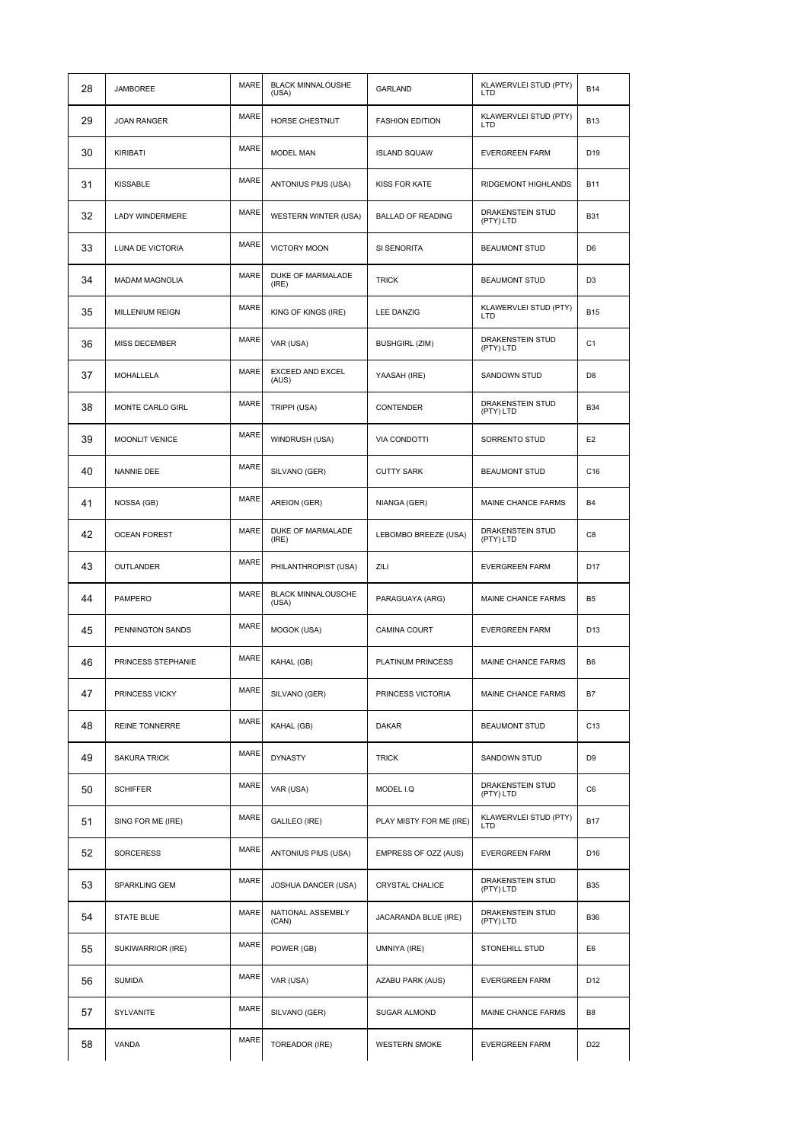| 28 | JAMBOREE               | <b>MARE</b> | <b>BLACK MINNALOUSHE</b><br>(USA)  | GARLAND                  | KLAWERVLEI STUD (PTY)<br>LTD         | <b>B14</b>      |
|----|------------------------|-------------|------------------------------------|--------------------------|--------------------------------------|-----------------|
| 29 | <b>JOAN RANGER</b>     | <b>MARE</b> | HORSE CHESTNUT                     | <b>FASHION EDITION</b>   | KLAWERVLEI STUD (PTY)<br>LTD         | <b>B13</b>      |
| 30 | KIRIBATI               | <b>MARE</b> | <b>MODEL MAN</b>                   | <b>ISLAND SQUAW</b>      | <b>EVERGREEN FARM</b>                | D19             |
| 31 | KISSABLE               | <b>MARE</b> | ANTONIUS PIUS (USA)                | <b>KISS FOR KATE</b>     | RIDGEMONT HIGHLANDS                  | <b>B11</b>      |
| 32 | LADY WINDERMERE        | <b>MARE</b> | <b>WESTERN WINTER (USA)</b>        | <b>BALLAD OF READING</b> | DRAKENSTEIN STUD<br>(PTY) LTD        | <b>B31</b>      |
| 33 | LUNA DE VICTORIA       | MARE        | VICTORY MOON                       | SI SENORITA              | <b>BEAUMONT STUD</b>                 | D <sub>6</sub>  |
| 34 | <b>MADAM MAGNOLIA</b>  | <b>MARE</b> | DUKE OF MARMALADE<br>(IRE)         | <b>TRICK</b>             | <b>BEAUMONT STUD</b>                 | D <sub>3</sub>  |
| 35 | <b>MILLENIUM REIGN</b> | <b>MARE</b> | KING OF KINGS (IRE)                | <b>LEE DANZIG</b>        | KLAWERVLEI STUD (PTY)<br>LTD         | <b>B15</b>      |
| 36 | MISS DECEMBER          | <b>MARE</b> | VAR (USA)                          | <b>BUSHGIRL (ZIM)</b>    | DRAKENSTEIN STUD<br>(PTY) LTD        | C <sub>1</sub>  |
| 37 | <b>MOHALLELA</b>       | <b>MARE</b> | EXCEED AND EXCEL<br>(AUS)          | YAASAH (IRE)             | SANDOWN STUD                         | D <sub>8</sub>  |
| 38 | MONTE CARLO GIRL       | <b>MARE</b> | TRIPPI (USA)                       | <b>CONTENDER</b>         | <b>DRAKENSTEIN STUD</b><br>(PTY) LTD | <b>B34</b>      |
| 39 | MOONLIT VENICE         | <b>MARE</b> | WINDRUSH (USA)                     | <b>VIA CONDOTTI</b>      | SORRENTO STUD                        | E <sub>2</sub>  |
| 40 | NANNIE DEE             | <b>MARE</b> | SILVANO (GER)                      | <b>CUTTY SARK</b>        | <b>BEAUMONT STUD</b>                 | C16             |
| 41 | NOSSA (GB)             | <b>MARE</b> | AREION (GER)                       | NIANGA (GER)             | MAINE CHANCE FARMS                   | B <sub>4</sub>  |
| 42 | <b>OCEAN FOREST</b>    | <b>MARE</b> | DUKE OF MARMALADE<br>(IRE)         | LEBOMBO BREEZE (USA)     | DRAKENSTEIN STUD<br>(PTY) LTD        | C8              |
| 43 | <b>OUTLANDER</b>       | <b>MARE</b> | PHILANTHROPIST (USA)               | ZILI                     | <b>EVERGREEN FARM</b>                | D <sub>17</sub> |
| 44 | <b>PAMPERO</b>         | <b>MARE</b> | <b>BLACK MINNALOUSCHE</b><br>(USA) | PARAGUAYA (ARG)          | MAINE CHANCE FARMS                   | B <sub>5</sub>  |
| 45 | PENNINGTON SANDS       | <b>MARE</b> | MOGOK (USA)                        | CAMINA COURT             | <b>EVERGREEN FARM</b>                | D13             |
| 46 | PRINCESS STEPHANIE     | <b>MARE</b> | KAHAL (GB)                         | PLATINUM PRINCESS        | MAINE CHANCE FARMS                   | B <sub>6</sub>  |
| 47 | PRINCESS VICKY         | MARE        | SILVANO (GER)                      | PRINCESS VICTORIA        | MAINE CHANCE FARMS                   | B7              |
| 48 | REINE TONNERRE         | <b>MARE</b> | KAHAL (GB)                         | DAKAR                    | <b>BEAUMONT STUD</b>                 | C <sub>13</sub> |
| 49 | <b>SAKURA TRICK</b>    | <b>MARE</b> | <b>DYNASTY</b>                     | <b>TRICK</b>             | SANDOWN STUD                         | D <sub>9</sub>  |
| 50 | <b>SCHIFFER</b>        | <b>MARE</b> | VAR (USA)                          | MODEL I.Q                | DRAKENSTEIN STUD<br>(PTY) LTD        | C6              |
| 51 | SING FOR ME (IRE)      | <b>MARE</b> | GALILEO (IRE)                      | PLAY MISTY FOR ME (IRE)  | KLAWERVLEI STUD (PTY)<br>LTD         | <b>B17</b>      |
| 52 | <b>SORCERESS</b>       | <b>MARE</b> | ANTONIUS PIUS (USA)                | EMPRESS OF OZZ (AUS)     | <b>EVERGREEN FARM</b>                | D <sub>16</sub> |
| 53 | SPARKLING GEM          | MARE        | JOSHUA DANCER (USA)                | CRYSTAL CHALICE          | DRAKENSTEIN STUD<br>(PTY) LTD        | <b>B35</b>      |
| 54 | <b>STATE BLUE</b>      | <b>MARE</b> | NATIONAL ASSEMBLY<br>(CAN)         | JACARANDA BLUE (IRE)     | DRAKENSTEIN STUD<br>(PTY) LTD        | <b>B36</b>      |
| 55 | SUKIWARRIOR (IRE)      | <b>MARE</b> | POWER (GB)                         | UMNIYA (IRE)             | STONEHILL STUD                       | E6              |
| 56 | <b>SUMIDA</b>          | <b>MARE</b> | VAR (USA)                          | AZABU PARK (AUS)         | <b>EVERGREEN FARM</b>                | D <sub>12</sub> |
| 57 | SYLVANITE              | <b>MARE</b> | SILVANO (GER)                      | SUGAR ALMOND             | MAINE CHANCE FARMS                   | B <sub>8</sub>  |
| 58 | VANDA                  | <b>MARE</b> | TOREADOR (IRE)                     | <b>WESTERN SMOKE</b>     | <b>EVERGREEN FARM</b>                | D <sub>22</sub> |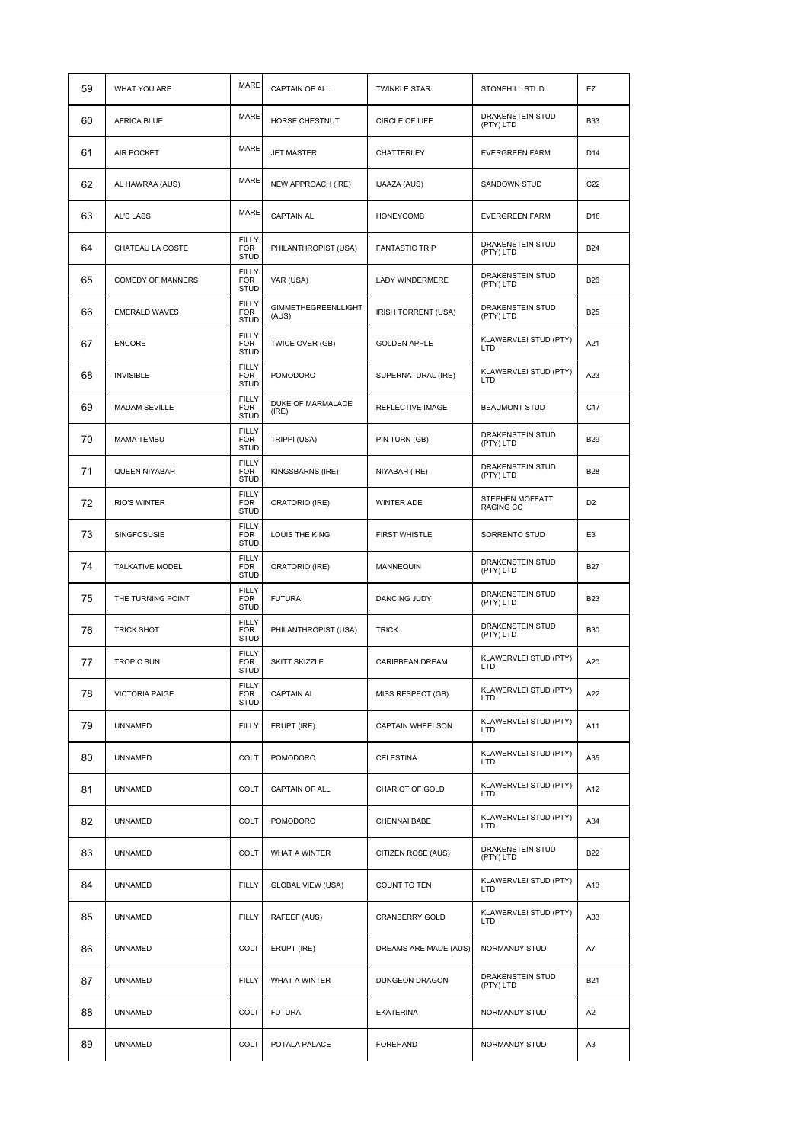| 59 | WHAT YOU ARE             | <b>MARE</b>                               | CAPTAIN OF ALL                      | <b>TWINKLE STAR</b>     | STONEHILL STUD                       | E7              |
|----|--------------------------|-------------------------------------------|-------------------------------------|-------------------------|--------------------------------------|-----------------|
| 60 | AFRICA BLUE              | <b>MARE</b>                               | HORSE CHESTNUT                      | CIRCLE OF LIFE          | DRAKENSTEIN STUD<br>(PTY) LTD        | <b>B33</b>      |
| 61 | <b>AIR POCKET</b>        | <b>MARE</b>                               | <b>JET MASTER</b>                   | <b>CHATTERLEY</b>       | <b>EVERGREEN FARM</b>                | D <sub>14</sub> |
| 62 | AL HAWRAA (AUS)          | <b>MARE</b>                               | NEW APPROACH (IRE)                  | IJAAZA (AUS)            | SANDOWN STUD                         | C <sub>22</sub> |
| 63 | AL'S LASS                | <b>MARE</b>                               | <b>CAPTAIN AL</b>                   | <b>HONEYCOMB</b>        | <b>EVERGREEN FARM</b>                | D <sub>18</sub> |
| 64 | CHATEAU LA COSTE         | <b>FILLY</b><br><b>FOR</b><br><b>STUD</b> | PHILANTHROPIST (USA)                | <b>FANTASTIC TRIP</b>   | DRAKENSTEIN STUD<br>(PTY) LTD        | <b>B24</b>      |
| 65 | <b>COMEDY OF MANNERS</b> | <b>FILLY</b><br><b>FOR</b><br><b>STUD</b> | VAR (USA)                           | LADY WINDERMERE         | DRAKENSTEIN STUD<br>(PTY) LTD        | <b>B26</b>      |
| 66 | <b>EMERALD WAVES</b>     | <b>FILLY</b><br><b>FOR</b><br><b>STUD</b> | <b>GIMMETHEGREENLLIGHT</b><br>(AUS) | IRISH TORRENT (USA)     | DRAKENSTEIN STUD<br>(PTY) LTD        | <b>B25</b>      |
| 67 | <b>ENCORE</b>            | <b>FILLY</b><br><b>FOR</b><br><b>STUD</b> | TWICE OVER (GB)                     | <b>GOLDEN APPLE</b>     | KLAWERVLEI STUD (PTY)<br>LTD         | A21             |
| 68 | <b>INVISIBLE</b>         | <b>FILLY</b><br><b>FOR</b><br><b>STUD</b> | POMODORO                            | SUPERNATURAL (IRE)      | KLAWERVLEI STUD (PTY)<br>LTD         | A23             |
| 69 | <b>MADAM SEVILLE</b>     | <b>FILLY</b><br><b>FOR</b><br><b>STUD</b> | DUKE OF MARMALADE<br>(IRE)          | <b>REFLECTIVE IMAGE</b> | <b>BEAUMONT STUD</b>                 | C <sub>17</sub> |
| 70 | <b>MAMA TEMBU</b>        | <b>FILLY</b><br><b>FOR</b><br><b>STUD</b> | TRIPPI (USA)                        | PIN TURN (GB)           | DRAKENSTEIN STUD<br>(PTY) LTD        | <b>B29</b>      |
| 71 | QUEEN NIYABAH            | <b>FILLY</b><br><b>FOR</b><br><b>STUD</b> | KINGSBARNS (IRE)                    | NIYABAH (IRE)           | <b>DRAKENSTEIN STUD</b><br>(PTY) LTD | <b>B28</b>      |
| 72 | <b>RIO'S WINTER</b>      | <b>FILLY</b><br><b>FOR</b><br><b>STUD</b> | ORATORIO (IRE)                      | <b>WINTER ADE</b>       | STEPHEN MOFFATT<br>RACING CC         | D <sub>2</sub>  |
| 73 | SINGFOSUSIE              | <b>FILLY</b><br><b>FOR</b><br><b>STUD</b> | LOUIS THE KING                      | <b>FIRST WHISTLE</b>    | SORRENTO STUD                        | E <sub>3</sub>  |
| 74 | <b>TALKATIVE MODEL</b>   | <b>FILLY</b><br><b>FOR</b><br><b>STUD</b> | ORATORIO (IRE)                      | <b>MANNEQUIN</b>        | DRAKENSTEIN STUD<br>(PTY) LTD        | <b>B27</b>      |
| 75 | THE TURNING POINT        | <b>FILLY</b><br><b>FOR</b><br><b>STUD</b> | <b>FUTURA</b>                       | <b>DANCING JUDY</b>     | DRAKENSTEIN STUD<br>(PTY) LTD        | <b>B23</b>      |
| 76 | <b>TRICK SHOT</b>        | <b>FILLY</b><br><b>FOR</b><br><b>STUD</b> | PHILANTHROPIST (USA)                | <b>TRICK</b>            | DRAKENSTEIN STUD<br>(PTY) LTD        | <b>B30</b>      |
| 77 | <b>TROPIC SUN</b>        | <b>FILLY</b><br><b>FOR</b><br><b>STUD</b> | SKITT SKIZZLE                       | CARIBBEAN DREAM         | KLAWERVLEI STUD (PTY)<br>LTD         | A20             |
| 78 | <b>VICTORIA PAIGE</b>    | FILLY<br><b>FOR</b><br><b>STUD</b>        | <b>CAPTAIN AL</b>                   | MISS RESPECT (GB)       | KLAWERVLEI STUD (PTY)<br>LTD         | A22             |
| 79 | <b>UNNAMED</b>           | <b>FILLY</b>                              | ERUPT (IRE)                         | CAPTAIN WHEELSON        | KLAWERVLEI STUD (PTY)<br><b>LTD</b>  | A11             |
| 80 | <b>UNNAMED</b>           | COLT                                      | <b>POMODORO</b>                     | <b>CELESTINA</b>        | KLAWERVLEI STUD (PTY)<br>LTD         | A35             |
| 81 | <b>UNNAMED</b>           | COLT                                      | <b>CAPTAIN OF ALL</b>               | CHARIOT OF GOLD         | KLAWERVLEI STUD (PTY)<br>LTD         | A12             |
| 82 | <b>UNNAMED</b>           | COLT                                      | POMODORO                            | <b>CHENNAI BABE</b>     | KLAWERVLEI STUD (PTY)<br>LTD         | A34             |
| 83 | <b>UNNAMED</b>           | <b>COLT</b>                               | WHAT A WINTER                       | CITIZEN ROSE (AUS)      | DRAKENSTEIN STUD<br>(PTY) LTD        | <b>B22</b>      |
| 84 | <b>UNNAMED</b>           | <b>FILLY</b>                              | <b>GLOBAL VIEW (USA)</b>            | COUNT TO TEN            | KLAWERVLEI STUD (PTY)<br>LTD         | A13             |
| 85 | <b>UNNAMED</b>           | <b>FILLY</b>                              | RAFEEF (AUS)                        | CRANBERRY GOLD          | KLAWERVLEI STUD (PTY)<br>LTD         | A33             |
| 86 | <b>UNNAMED</b>           | <b>COLT</b>                               | ERUPT (IRE)                         | DREAMS ARE MADE (AUS)   | NORMANDY STUD                        | A7              |
| 87 | <b>UNNAMED</b>           | <b>FILLY</b>                              | <b>WHAT A WINTER</b>                | DUNGEON DRAGON          | DRAKENSTEIN STUD<br>(PTY) LTD        | <b>B21</b>      |
| 88 | <b>UNNAMED</b>           | <b>COLT</b>                               | <b>FUTURA</b>                       | <b>EKATERINA</b>        | NORMANDY STUD                        | A <sub>2</sub>  |
| 89 | <b>UNNAMED</b>           | <b>COLT</b>                               | POTALA PALACE                       | <b>FOREHAND</b>         | NORMANDY STUD                        | A3              |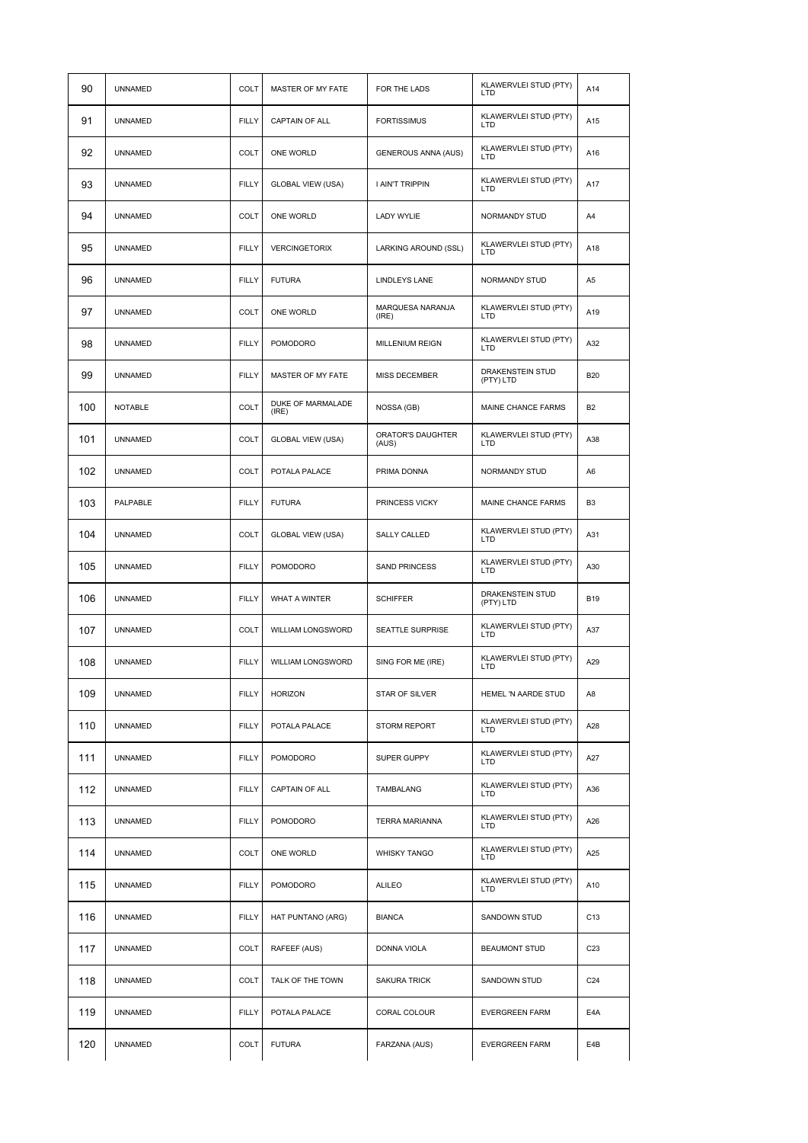| 90  | <b>UNNAMED</b> | <b>COLT</b>  | MASTER OF MY FATE          | FOR THE LADS               | KLAWERVLEI STUD (PTY)<br>LTD        | A14             |
|-----|----------------|--------------|----------------------------|----------------------------|-------------------------------------|-----------------|
| 91  | <b>UNNAMED</b> | <b>FILLY</b> | CAPTAIN OF ALL             | <b>FORTISSIMUS</b>         | KLAWERVLEI STUD (PTY)<br><b>LTD</b> | A15             |
| 92  | <b>UNNAMED</b> | <b>COLT</b>  | ONE WORLD                  | <b>GENEROUS ANNA (AUS)</b> | KLAWERVLEI STUD (PTY)<br><b>LTD</b> | A16             |
| 93  | <b>UNNAMED</b> | <b>FILLY</b> | <b>GLOBAL VIEW (USA)</b>   | I AIN'T TRIPPIN            | KLAWERVLEI STUD (PTY)<br>LTD        | A17             |
| 94  | <b>UNNAMED</b> | COLT         | ONE WORLD                  | LADY WYLIE                 | NORMANDY STUD                       | A4              |
| 95  | <b>UNNAMED</b> | <b>FILLY</b> | <b>VERCINGETORIX</b>       | LARKING AROUND (SSL)       | KLAWERVLEI STUD (PTY)<br>LTD        | A18             |
| 96  | <b>UNNAMED</b> | <b>FILLY</b> | <b>FUTURA</b>              | LINDLEYS LANE              | NORMANDY STUD                       | A <sub>5</sub>  |
| 97  | <b>UNNAMED</b> | <b>COLT</b>  | ONE WORLD                  | MARQUESA NARANJA<br>(IRE)  | KLAWERVLEI STUD (PTY)<br><b>LTD</b> | A19             |
| 98  | <b>UNNAMED</b> | <b>FILLY</b> | <b>POMODORO</b>            | <b>MILLENIUM REIGN</b>     | KLAWERVLEI STUD (PTY)<br>LTD        | A32             |
| 99  | <b>UNNAMED</b> | <b>FILLY</b> | MASTER OF MY FATE          | MISS DECEMBER              | DRAKENSTEIN STUD<br>(PTY) LTD       | <b>B20</b>      |
| 100 | <b>NOTABLE</b> | <b>COLT</b>  | DUKE OF MARMALADE<br>(IRE) | NOSSA (GB)                 | <b>MAINE CHANCE FARMS</b>           | <b>B2</b>       |
| 101 | <b>UNNAMED</b> | <b>COLT</b>  | <b>GLOBAL VIEW (USA)</b>   | ORATOR'S DAUGHTER<br>(AUS) | KLAWERVLEI STUD (PTY)<br>LTD        | A38             |
| 102 | <b>UNNAMED</b> | COLT         | POTALA PALACE              | PRIMA DONNA                | NORMANDY STUD                       | A6              |
| 103 | PALPABLE       | <b>FILLY</b> | <b>FUTURA</b>              | PRINCESS VICKY             | MAINE CHANCE FARMS                  | B <sub>3</sub>  |
| 104 | <b>UNNAMED</b> | <b>COLT</b>  | <b>GLOBAL VIEW (USA)</b>   | <b>SALLY CALLED</b>        | KLAWERVLEI STUD (PTY)<br>LTD        | A31             |
| 105 | <b>UNNAMED</b> | <b>FILLY</b> | POMODORO                   | <b>SAND PRINCESS</b>       | KLAWERVLEI STUD (PTY)<br>LTD        | A30             |
| 106 | <b>UNNAMED</b> | <b>FILLY</b> | <b>WHAT A WINTER</b>       | <b>SCHIFFER</b>            | DRAKENSTEIN STUD<br>(PTY) LTD       | <b>B19</b>      |
| 107 | <b>UNNAMED</b> | <b>COLT</b>  | WILLIAM LONGSWORD          | <b>SEATTLE SURPRISE</b>    | KLAWERVLEI STUD (PTY)<br>LTD        | A37             |
| 108 | <b>UNNAMED</b> | <b>FILLY</b> | WILLIAM LONGSWORD          | SING FOR ME (IRE)          | KLAWERVLEI STUD (PTY)<br>LTD        | A29             |
| 109 | UNNAMED        | <b>FILLY</b> | HORIZON                    | STAR OF SILVER             | HEMEL 'N AARDE STUD                 | A8              |
| 110 | UNNAMED        | <b>FILLY</b> | POTALA PALACE              | STORM REPORT               | KLAWERVLEI STUD (PTY)<br>LTD        | A28             |
| 111 | UNNAMED        | <b>FILLY</b> | POMODORO                   | SUPER GUPPY                | KLAWERVLEI STUD (PTY)<br>LTD        | A27             |
| 112 | UNNAMED        | <b>FILLY</b> | CAPTAIN OF ALL             | TAMBALANG                  | KLAWERVLEI STUD (PTY)<br>LTD        | A36             |
| 113 | <b>UNNAMED</b> | <b>FILLY</b> | POMODORO                   | TERRA MARIANNA             | KLAWERVLEI STUD (PTY)<br>LTD        | A26             |
| 114 | <b>UNNAMED</b> | COLT         | ONE WORLD                  | <b>WHISKY TANGO</b>        | KLAWERVLEI STUD (PTY)<br>LTD        | A25             |
| 115 | <b>UNNAMED</b> | <b>FILLY</b> | POMODORO                   | <b>ALILEO</b>              | KLAWERVLEI STUD (PTY)<br>LTD        | A10             |
| 116 | <b>UNNAMED</b> | <b>FILLY</b> | HAT PUNTANO (ARG)          | <b>BIANCA</b>              | SANDOWN STUD                        | C13             |
| 117 | <b>UNNAMED</b> | COLT         | RAFEEF (AUS)               | <b>DONNA VIOLA</b>         | <b>BEAUMONT STUD</b>                | C <sub>23</sub> |
| 118 | <b>UNNAMED</b> | <b>COLT</b>  | TALK OF THE TOWN           | <b>SAKURA TRICK</b>        | SANDOWN STUD                        | C24             |
| 119 | <b>UNNAMED</b> | <b>FILLY</b> | POTALA PALACE              | CORAL COLOUR               | <b>EVERGREEN FARM</b>               | E4A             |
| 120 | <b>UNNAMED</b> | COLT         | <b>FUTURA</b>              | FARZANA (AUS)              | <b>EVERGREEN FARM</b>               | E4B             |